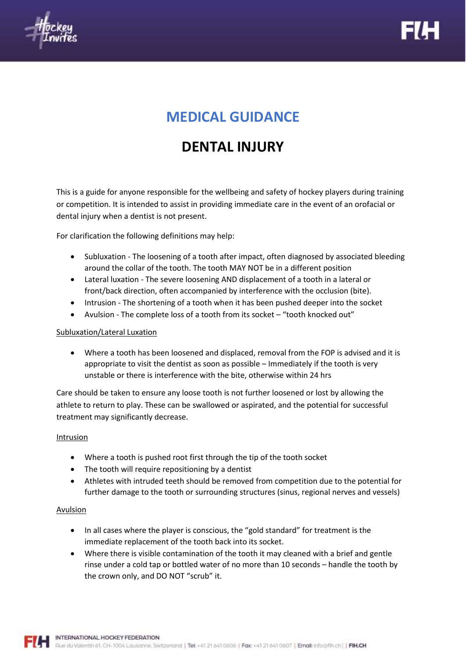



# **MEDICAL GUIDANCE**

# **DENTAL INJURY**

This is a guide for anyone responsible for the wellbeing and safety of hockey players during training or competition. It is intended to assist in providing immediate care in the event of an orofacial or dental injury when a dentist is not present.

For clarification the following definitions may help:

- Subluxation The loosening of a tooth after impact, often diagnosed by associated bleeding around the collar of the tooth. The tooth MAY NOT be in a different position
- Lateral luxation The severe loosening AND displacement of a tooth in a lateral or front/back direction, often accompanied by interference with the occlusion (bite).
- Intrusion The shortening of a tooth when it has been pushed deeper into the socket
- Avulsion The complete loss of a tooth from its socket "tooth knocked out"

## Subluxation/Lateral Luxation

• Where a tooth has been loosened and displaced, removal from the FOP is advised and it is appropriate to visit the dentist as soon as possible – Immediately if the tooth is very unstable or there is interference with the bite, otherwise within 24 hrs

Care should be taken to ensure any loose tooth is not further loosened or lost by allowing the athlete to return to play. These can be swallowed or aspirated, and the potential for successful treatment may significantly decrease.

### Intrusion

- Where a tooth is pushed root first through the tip of the tooth socket
- The tooth will require repositioning by a dentist
- Athletes with intruded teeth should be removed from competition due to the potential for further damage to the tooth or surrounding structures (sinus, regional nerves and vessels)

## Avulsion

- In all cases where the player is conscious, the "gold standard" for treatment is the immediate replacement of the tooth back into its socket.
- Where there is visible contamination of the tooth it may cleaned with a brief and gentle rinse under a cold tap or bottled water of no more than 10 seconds – handle the tooth by the crown only, and DO NOT "scrub" it.